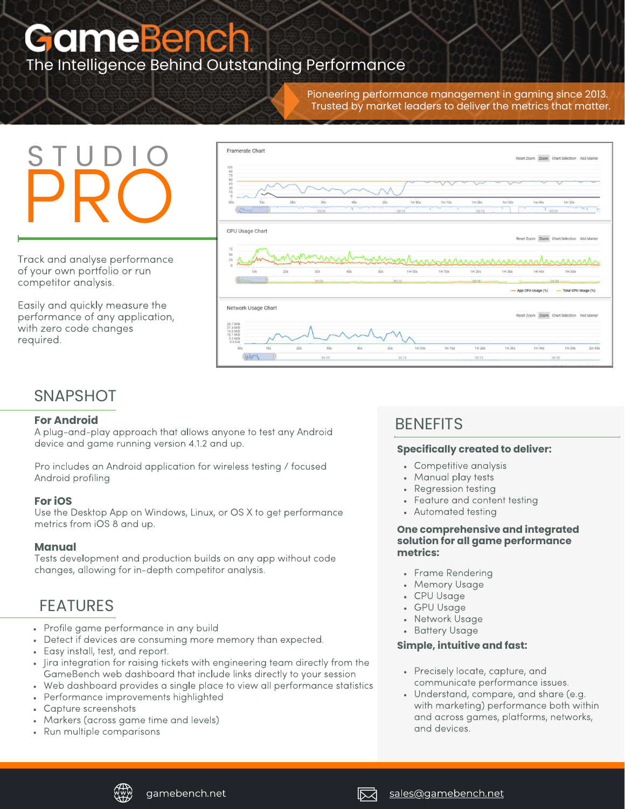# **GameBench** The Intelligence Behind Outstanding Performance

Pioneering performance management in gaming since 2013. Trusted by market leaders to deliver the metrics that matter.

# S T U D I O **PRO**

Track and analyse performance of your own portfolio or run competitor analysis.

Easily and quickly measure the performance of any application, with zero code changes required.



# **SNAPSHOT**

#### **For Android**

A plug-and-play approach that allows anyone to test any Android device and game running version 4.1.2 and up.

Pro includes an Android application for wireless testing / focused Android profiling

#### **For iOS**

Use the Desktop App on Windows, Linux, or OS X to get performance metrics from iOS 8 and up.

#### **Manual**

Tests development and production builds on any app without code changes, allowing for in-depth competitor analysis.

## FEATURES

- Profile game performance in any build
- Detect if devices are consuming more memory than expected.
- Easy install, test, and report.
- Jira integration for raising tickets with engineering team directly from the GameBench web dashboard that include links directly to your session
- Web dashboard provides a single place to view all performance statistics
- Performance improvements highlighted  $\bullet$
- Capture screenshots
- Markers (across game time and levels)  $\bullet$
- Run multiple comparisons  $\bullet$

# **BENEFITS**

#### **Specifically created to deliver:**

- Competitive analysis
- Manual play tests
- Regression testing
- Feature and content testing
- Automated testing

#### **One comprehensive and integrated solution for all game performance metrics:**

- Frame Rendering
- Memory Usage
- CPU Usage
- GPU Usage
- Network Usage
- **Battery Usage**

#### **Simple, intuitive and fast:**

- Precisely locate, capture, and communicate performance issues.
- Understand, compare, and share (e.g. with marketing) performance both within and across games, platforms, networks, and devices.